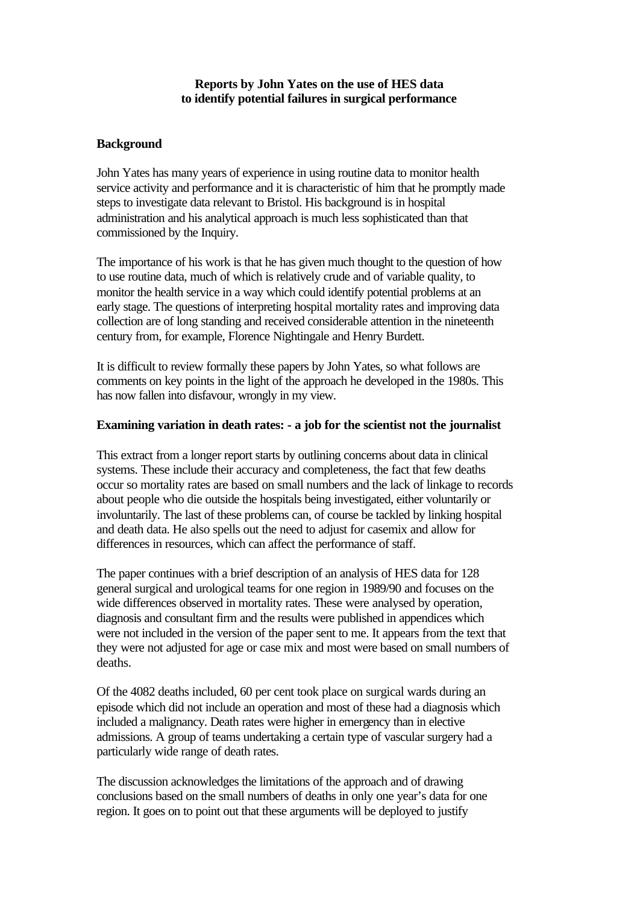## **Reports by John Yates on the use of HES data to identify potential failures in surgical performance**

# **Background**

John Yates has many years of experience in using routine data to monitor health service activity and performance and it is characteristic of him that he promptly made steps to investigate data relevant to Bristol. His background is in hospital administration and his analytical approach is much less sophisticated than that commissioned by the Inquiry.

The importance of his work is that he has given much thought to the question of how to use routine data, much of which is relatively crude and of variable quality, to monitor the health service in a way which could identify potential problems at an early stage. The questions of interpreting hospital mortality rates and improving data collection are of long standing and received considerable attention in the nineteenth century from, for example, Florence Nightingale and Henry Burdett.

It is difficult to review formally these papers by John Yates, so what follows are comments on key points in the light of the approach he developed in the 1980s. This has now fallen into disfavour, wrongly in my view.

## **Examining variation in death rates: - a job for the scientist not the journalist**

This extract from a longer report starts by outlining concerns about data in clinical systems. These include their accuracy and completeness, the fact that few deaths occur so mortality rates are based on small numbers and the lack of linkage to records about people who die outside the hospitals being investigated, either voluntarily or involuntarily. The last of these problems can, of course be tackled by linking hospital and death data. He also spells out the need to adjust for casemix and allow for differences in resources, which can affect the performance of staff.

The paper continues with a brief description of an analysis of HES data for 128 general surgical and urological teams for one region in 1989/90 and focuses on the wide differences observed in mortality rates. These were analysed by operation, diagnosis and consultant firm and the results were published in appendices which were not included in the version of the paper sent to me. It appears from the text that they were not adjusted for age or case mix and most were based on small numbers of deaths.

Of the 4082 deaths included, 60 per cent took place on surgical wards during an episode which did not include an operation and most of these had a diagnosis which included a malignancy. Death rates were higher in emergency than in elective admissions. A group of teams undertaking a certain type of vascular surgery had a particularly wide range of death rates.

The discussion acknowledges the limitations of the approach and of drawing conclusions based on the small numbers of deaths in only one year's data for one region. It goes on to point out that these arguments will be deployed to justify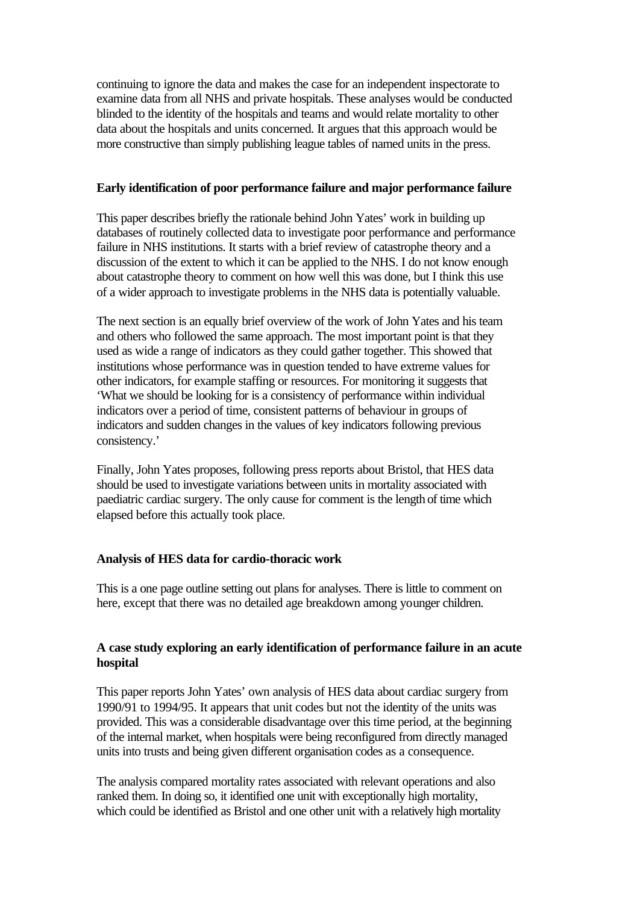continuing to ignore the data and makes the case for an independent inspectorate to examine data from all NHS and private hospitals. These analyses would be conducted blinded to the identity of the hospitals and teams and would relate mortality to other data about the hospitals and units concerned. It argues that this approach would be more constructive than simply publishing league tables of named units in the press.

## **Early identification of poor performance failure and major performance failure**

This paper describes briefly the rationale behind John Yates' work in building up databases of routinely collected data to investigate poor performance and performance failure in NHS institutions. It starts with a brief review of catastrophe theory and a discussion of the extent to which it can be applied to the NHS. I do not know enough about catastrophe theory to comment on how well this was done, but I think this use of a wider approach to investigate problems in the NHS data is potentially valuable.

The next section is an equally brief overview of the work of John Yates and his team and others who followed the same approach. The most important point is that they used as wide a range of indicators as they could gather together. This showed that institutions whose performance was in question tended to have extreme values for other indicators, for example staffing or resources. For monitoring it suggests that 'What we should be looking for is a consistency of performance within individual indicators over a period of time, consistent patterns of behaviour in groups of indicators and sudden changes in the values of key indicators following previous consistency.'

Finally, John Yates proposes, following press reports about Bristol, that HES data should be used to investigate variations between units in mortality associated with paediatric cardiac surgery. The only cause for comment is the length of time which elapsed before this actually took place.

## **Analysis of HES data for cardio-thoracic work**

This is a one page outline setting out plans for analyses. There is little to comment on here, except that there was no detailed age breakdown among younger children.

# **A case study exploring an early identification of performance failure in an acute hospital**

This paper reports John Yates' own analysis of HES data about cardiac surgery from 1990/91 to 1994/95. It appears that unit codes but not the identity of the units was provided. This was a considerable disadvantage over this time period, at the beginning of the internal market, when hospitals were being reconfigured from directly managed units into trusts and being given different organisation codes as a consequence.

The analysis compared mortality rates associated with relevant operations and also ranked them. In doing so, it identified one unit with exceptionally high mortality, which could be identified as Bristol and one other unit with a relatively high mortality